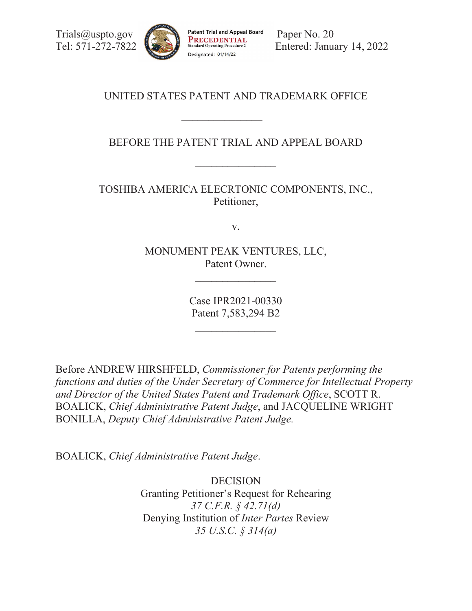[Trials@uspto.gov](mailto:Trials@uspto.gov) Patent Trial and Appeal Board Paper No. 20



Tel: 571-272-7822 **Entered:** Sandard Operating Procedure 2<br>Designated: 01/14/22<br>Designated: 01/14/22

# UNITED STATES PATENT AND TRADEMARK OFFICE

 $\frac{1}{2}$ 

BEFORE THE PATENT TRIAL AND APPEAL BOARD

TOSHIBA AMERICA ELECRTONIC COMPONENTS, INC., Petitioner,

v.

MONUMENT PEAK VENTURES, LLC, Patent Owner.

 $\mathcal{L}_\text{max}$ 

Case IPR2021-00330 Patent 7,583,294 B2

 $\frac{1}{2}$ 

 *functions and duties of the Under Secretary of Commerce for Intellectual Property*  Before ANDREW HIRSHFELD, *Commissioner for Patents performing the and Director of the United States Patent and Trademark Office*, SCOTT R. BOALICK, *Chief Administrative Patent Judge*, and JACQUELINE WRIGHT BONILLA, *Deputy Chief Administrative Patent Judge.* 

BOALICK, *Chief Administrative Patent Judge*.

DECISION Granting Petitioner's Request for Rehearing *37 C.F.R. § 42.71(d)*  Denying Institution of *Inter Partes* Review *35 U.S.C. § 314(a)*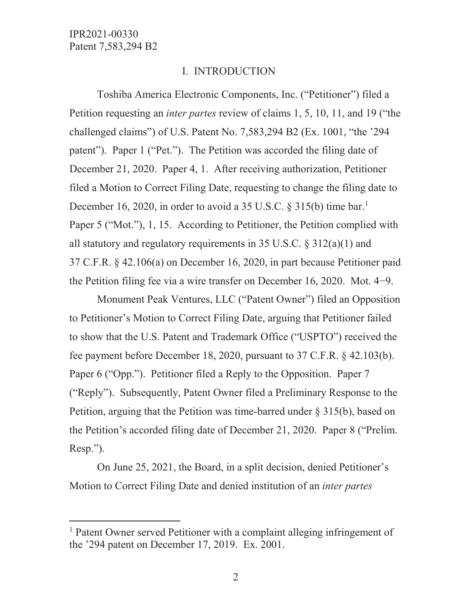$\overline{a}$ 

### I. INTRODUCTION

 Petition requesting an *inter partes* review of claims 1, 5, 10, 11, and 19 ("the challenged claims") of U.S. Patent No. 7,583,294 B2 (Ex. 1001, "the '294 December 21, 2020. Paper 4, 1. After receiving authorization, Petitioner filed a Motion to Correct Filing Date, requesting to change the filing date to December 16, 2020, in order to avoid a 35 U.S.C.  $\S$  315(b) time bar.<sup>1</sup> the Petition filing fee via a wire transfer on December 16, 2020. Mot.  $4-9$ . Toshiba America Electronic Components, Inc. ("Petitioner") filed a patent"). Paper 1 ("Pet."). The Petition was accorded the filing date of Paper 5 ("Mot."), 1, 15. According to Petitioner, the Petition complied with all statutory and regulatory requirements in 35 U.S.C.  $\S 312(a)(1)$  and 37 C.F.R. § 42.106(a) on December 16, 2020, in part because Petitioner paid

 fee payment before December 18, 2020, pursuant to 37 C.F.R. § 42.103(b). Paper 6 ("Opp."). Petitioner filed a Reply to the Opposition. Paper 7 Monument Peak Ventures, LLC ("Patent Owner") filed an Opposition to Petitioner's Motion to Correct Filing Date, arguing that Petitioner failed to show that the U.S. Patent and Trademark Office ("USPTO") received the ("Reply"). Subsequently, Patent Owner filed a Preliminary Response to the Petition, arguing that the Petition was time-barred under  $\S 315(b)$ , based on the Petition's accorded filing date of December 21, 2020. Paper 8 ("Prelim. Resp.").

 Motion to Correct Filing Date and denied institution of an *inter partes*  On June 25, 2021, the Board, in a split decision, denied Petitioner's

the '294 patent on December 17, 2019. Ex. 2001.<br>2 <sup>1</sup> Patent Owner served Petitioner with a complaint alleging infringement of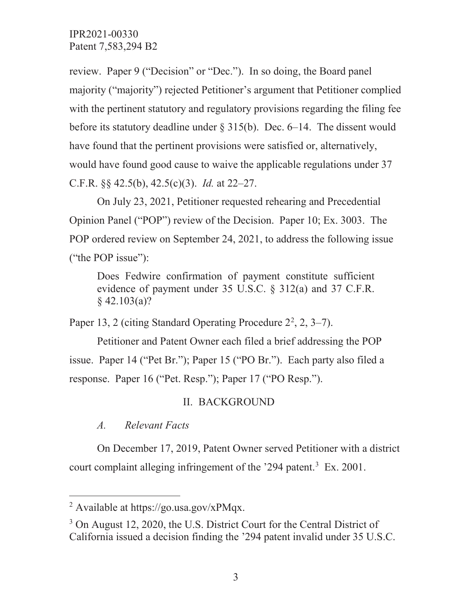C.F.R. §§ 42.5(b), 42.5(c)(3). *Id.* at 22–27. review. Paper 9 ("Decision" or "Dec."). In so doing, the Board panel majority ("majority") rejected Petitioner's argument that Petitioner complied with the pertinent statutory and regulatory provisions regarding the filing fee before its statutory deadline under  $\S 315(b)$ . Dec. 6–14. The dissent would have found that the pertinent provisions were satisfied or, alternatively, would have found good cause to waive the applicable regulations under 37

On July 23, 2021, Petitioner requested rehearing and Precedential Opinion Panel ("POP") review of the Decision. Paper 10; Ex. 3003. The POP ordered review on September 24, 2021, to address the following issue ("the POP issue"):

 $\S$  42.103(a)? Does Fedwire confirmation of payment constitute sufficient evidence of payment under 35 U.S.C. § 312(a) and 37 C.F.R.

§ 42.103(a)? Paper 13, 2 (citing Standard Operating Procedure 22 , 2, 3–7).

response. Paper 16 ("Pet. Resp."); Paper 17 ("PO Resp.").<br>II. BACKGROUND Petitioner and Patent Owner each filed a brief addressing the POP issue. Paper 14 ("Pet Br."); Paper 15 ("PO Br."). Each party also filed a

*A. Relevant Facts* 

 $\overline{a}$ 

On December 17, 2019, Patent Owner served Petitioner with a district court complaint alleging infringement of the '294 patent.<sup>3</sup> Ex. 2001.

<sup>&</sup>lt;sup>2</sup> Available at <https://go.usa.gov/xPMqx>.

<sup>&</sup>lt;sup>3</sup> On August 12, 2020, the U.S. District Court for the Central District of California issued a decision finding the '294 patent invalid under 35 U.S.C.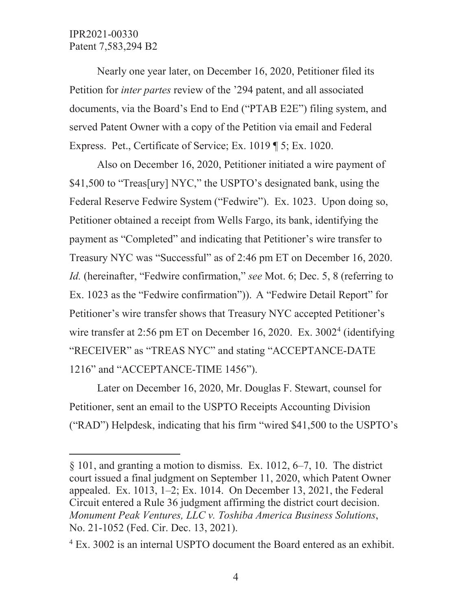$\overline{a}$ 

 Petition for *inter partes* review of the '294 patent, and all associated Nearly one year later, on December 16, 2020, Petitioner filed its documents, via the Board's End to End ("PTAB E2E") filing system, and served Patent Owner with a copy of the Petition via email and Federal Express. Pet., Certificate of Service; Ex. 1019 ¶ 5; Ex. 1020.

\$41,500 to "Treas[ury] NYC," the USPTO's designated bank, using the Treasury NYC was "Successful" as of 2:46 pm ET on December 16, 2020. Petitioner's wire transfer shows that Treasury NYC accepted Petitioner's wire transfer at 2:56 pm ET on December 16, 2020. Ex. 3002<sup>4</sup> (identifying Also on December 16, 2020, Petitioner initiated a wire payment of Federal Reserve Fedwire System ("Fedwire"). Ex. 1023. Upon doing so, Petitioner obtained a receipt from Wells Fargo, its bank, identifying the payment as "Completed" and indicating that Petitioner's wire transfer to *Id.* (hereinafter, "Fedwire confirmation," *see* Mot. 6; Dec. 5, 8 (referring to Ex. 1023 as the "Fedwire confirmation")). A "Fedwire Detail Report" for "RECEIVER" as "TREAS NYC" and stating "ACCEPTANCE-DATE 1216" and "ACCEPTANCE-TIME 1456").

 Petitioner, sent an email to the USPTO Receipts Accounting Division ("RAD") Helpdesk, indicating that his firm "wired \$41,500 to the USPTO's Later on December 16, 2020, Mr. Douglas F. Stewart, counsel for

 Circuit entered a Rule 36 judgment affirming the district court decision. § 101, and granting a motion to dismiss. Ex. 1012, 6–7, 10. The district court issued a final judgment on September 11, 2020, which Patent Owner appealed. Ex. 1013, 1–2; Ex. 1014. On December 13, 2021, the Federal *Monument Peak Ventures, LLC v. Toshiba America Business Solutions*, No. 21-1052 (Fed. Cir. Dec. 13, 2021).

<sup>&</sup>lt;sup>4</sup> Ex. 3002 is an internal USPTO document the Board entered as an exhibit.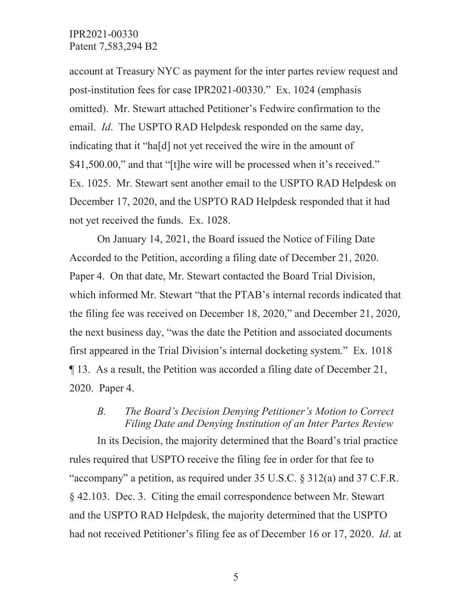email. *Id*. The USPTO RAD Helpdesk responded on the same day, \$41,500.00," and that "[t] he wire will be processed when it's received." account at Treasury NYC as payment for the inter partes review request and post-institution fees for case IPR2021-00330." Ex. 1024 (emphasis omitted). Mr. Stewart attached Petitioner's Fedwire confirmation to the indicating that it "ha[d] not yet received the wire in the amount of Ex. 1025. Mr. Stewart sent another email to the USPTO RAD Helpdesk on December 17, 2020, and the USPTO RAD Helpdesk responded that it had not yet received the funds. Ex. 1028.

 Accorded to the Petition, according a filing date of December 21, 2020. first appeared in the Trial Division's internal docketing system." Ex. 1018 2020. Paper 4. On January 14, 2021, the Board issued the Notice of Filing Date Paper 4. On that date, Mr. Stewart contacted the Board Trial Division, which informed Mr. Stewart "that the PTAB's internal records indicated that the filing fee was received on December 18, 2020," and December 21, 2020, the next business day, "was the date the Petition and associated documents ¶ 13. As a result, the Petition was accorded a filing date of December 21,

## *B. The Board's Decision Denying Petitioner's Motion to Correct Filing Date and Denying Institution of an Inter Partes Review*

 and the USPTO RAD Helpdesk, the majority determined that the USPTO had not received Petitioner's filing fee as of December 16 or 17, 2020. *Id*. at In its Decision, the majority determined that the Board's trial practice rules required that USPTO receive the filing fee in order for that fee to "accompany" a petition, as required under 35 U.S.C. § 312(a) and 37 C.F.R. § 42.103. Dec. 3. Citing the email correspondence between Mr. Stewart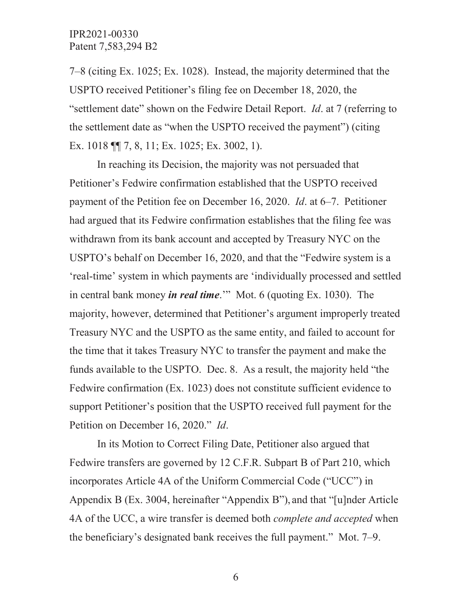"settlement date" shown on the Fedwire Detail Report. *Id*. at 7 (referring to Ex. 1018 || 7, 8, 11; Ex. 1025; Ex. 3002, 1). 7–8 (citing Ex. 1025; Ex. 1028). Instead, the majority determined that the USPTO received Petitioner's filing fee on December 18, 2020, the the settlement date as "when the USPTO received the payment") (citing

 payment of the Petition fee on December 16, 2020. *Id*. at 6–7. Petitioner In reaching its Decision, the majority was not persuaded that Petitioner's Fedwire confirmation established that the USPTO received had argued that its Fedwire confirmation establishes that the filing fee was withdrawn from its bank account and accepted by Treasury NYC on the USPTO's behalf on December 16, 2020, and that the "Fedwire system is a 'real-time' system in which payments are 'individually processed and settled in central bank money *in real time*.'" Mot. 6 (quoting Ex. 1030). The majority, however, determined that Petitioner's argument improperly treated Treasury NYC and the USPTO as the same entity, and failed to account for the time that it takes Treasury NYC to transfer the payment and make the funds available to the USPTO. Dec. 8. As a result, the majority held "the Fedwire confirmation (Ex. 1023) does not constitute sufficient evidence to support Petitioner's position that the USPTO received full payment for the Petition on December 16, 2020." *Id*.

 the beneficiary's designated bank receives the full payment." Mot. 7–9. In its Motion to Correct Filing Date, Petitioner also argued that Fedwire transfers are governed by 12 C.F.R. Subpart B of Part 210, which incorporates Article 4A of the Uniform Commercial Code ("UCC") in Appendix B (Ex. 3004, hereinafter "Appendix B"), and that "[u]nder Article 4A of the UCC, a wire transfer is deemed both *complete and accepted* when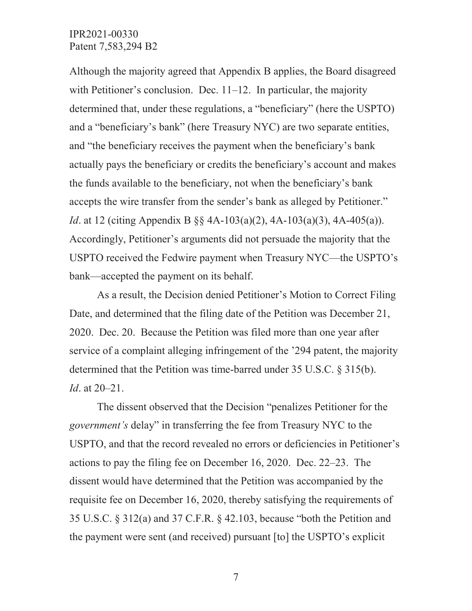with Petitioner's conclusion. Dec.  $11-12$ . In particular, the majority accepts the wire transfer from the sender's bank as alleged by Petitioner." Although the majority agreed that Appendix B applies, the Board disagreed determined that, under these regulations, a "beneficiary" (here the USPTO) and a "beneficiary's bank" (here Treasury NYC) are two separate entities, and "the beneficiary receives the payment when the beneficiary's bank actually pays the beneficiary or credits the beneficiary's account and makes the funds available to the beneficiary, not when the beneficiary's bank *Id*. at 12 (citing Appendix B §§ 4A-103(a)(2), 4A-103(a)(3), 4A-405(a)). Accordingly, Petitioner's arguments did not persuade the majority that the USPTO received the Fedwire payment when Treasury NYC—the USPTO's bank—accepted the payment on its behalf.

 service of a complaint alleging infringement of the '294 patent, the majority determined that the Petition was time-barred under 35 U.S.C. § 315(b). As a result, the Decision denied Petitioner's Motion to Correct Filing Date, and determined that the filing date of the Petition was December 21, 2020. Dec. 20. Because the Petition was filed more than one year after *Id*. at 20–21.

 The dissent observed that the Decision "penalizes Petitioner for the requisite fee on December 16, 2020, thereby satisfying the requirements of *government's* delay" in transferring the fee from Treasury NYC to the USPTO, and that the record revealed no errors or deficiencies in Petitioner's actions to pay the filing fee on December 16, 2020. Dec. 22–23. The dissent would have determined that the Petition was accompanied by the 35 U.S.C. § 312(a) and 37 C.F.R. § 42.103, because "both the Petition and the payment were sent (and received) pursuant [to] the USPTO's explicit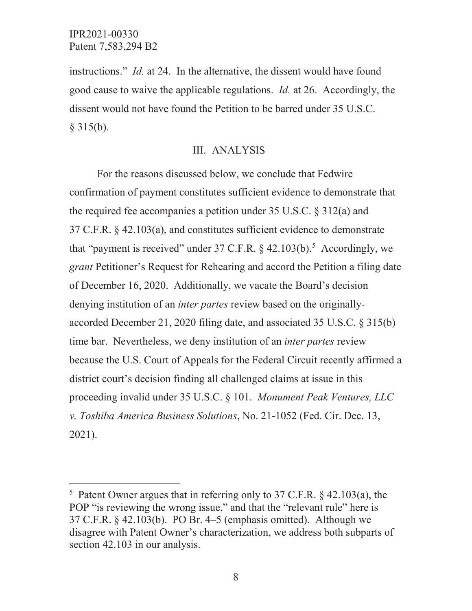$\overline{a}$ 

 instructions." *Id.* at 24. In the alternative, the dissent would have found good cause to waive the applicable regulations. *Id.* at 26. Accordingly, the dissent would not have found the Petition to be barred under 35 U.S.C.  $§$  315(b).

#### III. ANALYSIS

 For the reasons discussed below, we conclude that Fedwire proceeding invalid under 35 U.S.C. § 101. *Monument Peak Ventures, LLC v. Toshiba America Business Solutions*, No. 21-1052 (Fed. Cir. Dec. 13, confirmation of payment constitutes sufficient evidence to demonstrate that the required fee accompanies a petition under 35 U.S.C. § 312(a) and 37 C.F.R. § 42.103(a), and constitutes sufficient evidence to demonstrate that "payment is received" under 37 C.F.R.  $\S$  42.103(b).<sup>5</sup> Accordingly, we *grant* Petitioner's Request for Rehearing and accord the Petition a filing date of December 16, 2020. Additionally, we vacate the Board's decision denying institution of an *inter partes* review based on the originallyaccorded December 21, 2020 filing date, and associated 35 U.S.C. § 315(b) time bar. Nevertheless, we deny institution of an *inter partes* review because the U.S. Court of Appeals for the Federal Circuit recently affirmed a district court's decision finding all challenged claims at issue in this 2021).

 5 Patent Owner argues that in referring only to 37 C.F.R. § 42.103(a), the section 42.103 in our analysis. POP "is reviewing the wrong issue," and that the "relevant rule" here is 37 C.F.R. § 42.103(b). PO Br. 4–5 (emphasis omitted). Although we disagree with Patent Owner's characterization, we address both subparts of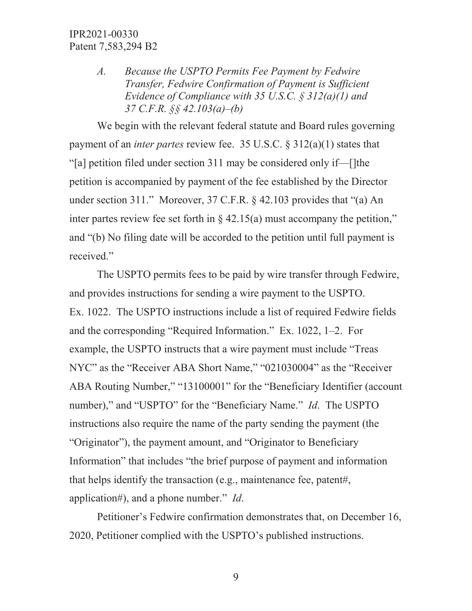*A. Because the USPTO Permits Fee Payment by Fedwire Transfer, Fedwire Confirmation of Payment is Sufficient Evidence of Compliance with 35 U.S.C. § 312(a)(1) and 37 C.F.R. §§ 42.103(a)–(b)* 

 payment of an *inter partes* review fee. 35 U.S.C. § 312(a)(1) states that We begin with the relevant federal statute and Board rules governing "[a] petition filed under section 311 may be considered only if—[]the petition is accompanied by payment of the fee established by the Director under section 311." Moreover, 37 C.F.R. § 42.103 provides that "(a) An inter partes review fee set forth in  $\S$  42.15(a) must accompany the petition," and "(b) No filing date will be accorded to the petition until full payment is received."

 and the corresponding "Required Information." Ex. 1022, 1–2. For The USPTO permits fees to be paid by wire transfer through Fedwire, and provides instructions for sending a wire payment to the USPTO. Ex. 1022. The USPTO instructions include a list of required Fedwire fields example, the USPTO instructs that a wire payment must include "Treas NYC" as the "Receiver ABA Short Name," "021030004" as the "Receiver ABA Routing Number," "13100001" for the "Beneficiary Identifier (account number)," and "USPTO" for the "Beneficiary Name." *Id*. The USPTO instructions also require the name of the party sending the payment (the "Originator"), the payment amount, and "Originator to Beneficiary Information" that includes "the brief purpose of payment and information that helps identify the transaction (e.g., maintenance fee, patent#, application#), and a phone number." *Id*.

Petitioner's Fedwire confirmation demonstrates that, on December 16, 2020, Petitioner complied with the USPTO's published instructions.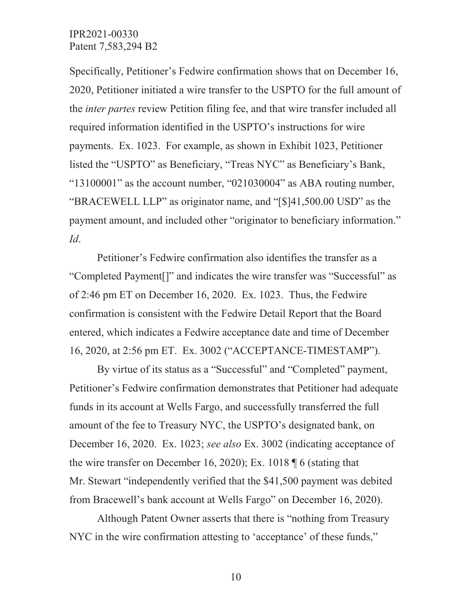2020, Petitioner initiated a wire transfer to the USPTO for the full amount of Specifically, Petitioner's Fedwire confirmation shows that on December 16, the *inter partes* review Petition filing fee, and that wire transfer included all required information identified in the USPTO's instructions for wire payments. Ex. 1023. For example, as shown in Exhibit 1023, Petitioner listed the "USPTO" as Beneficiary, "Treas NYC" as Beneficiary's Bank, "13100001" as the account number, "021030004" as ABA routing number, "BRACEWELL LLP" as originator name, and "[\$[\]41,500.00](https://41,500.00) USD" as the payment amount, and included other "originator to beneficiary information." *Id*.

 confirmation is consistent with the Fedwire Detail Report that the Board Petitioner's Fedwire confirmation also identifies the transfer as a "Completed Payment[]" and indicates the wire transfer was "Successful" as of 2:46 pm ET on December 16, 2020. Ex. 1023. Thus, the Fedwire entered, which indicates a Fedwire acceptance date and time of December 16, 2020, at 2:56 pm ET. Ex. 3002 ("ACCEPTANCE-TIMESTAMP").

 amount of the fee to Treasury NYC, the USPTO's designated bank, on the wire transfer on December 16, 2020); Ex. 1018 ¶ 6 (stating that from Bracewell's bank account at Wells Fargo" on December 16, 2020). Although Patent Owner asserts that there is "nothing from Treasury By virtue of its status as a "Successful" and "Completed" payment, Petitioner's Fedwire confirmation demonstrates that Petitioner had adequate funds in its account at Wells Fargo, and successfully transferred the full December 16, 2020. Ex. 1023; *see also* Ex. 3002 (indicating acceptance of Mr. Stewart "independently verified that the \$41,500 payment was debited

NYC in the wire confirmation attesting to 'acceptance' of these funds,"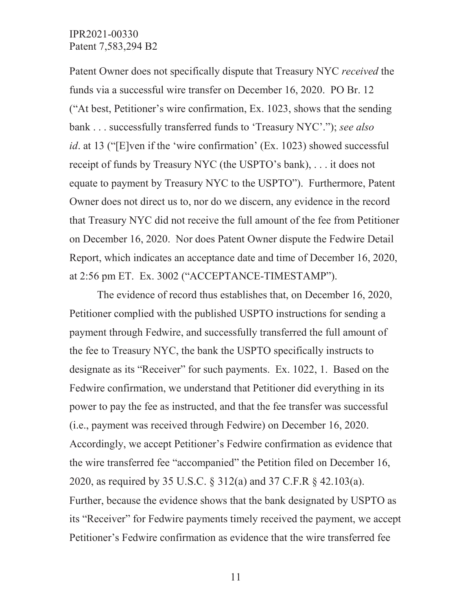receipt of funds by Treasury NYC (the USPTO's bank), . . . it does not Owner does not direct us to, nor do we discern, any evidence in the record at 2:56 pm ET. Ex. 3002 ("ACCEPTANCE-TIMESTAMP"). Patent Owner does not specifically dispute that Treasury NYC *received* the funds via a successful wire transfer on December 16, 2020. PO Br. 12 ("At best, Petitioner's wire confirmation, Ex. 1023, shows that the sending bank . . . successfully transferred funds to 'Treasury NYC'."); *see also id*. at 13 ("[E]ven if the 'wire confirmation' (Ex. 1023) showed successful equate to payment by Treasury NYC to the USPTO"). Furthermore, Patent that Treasury NYC did not receive the full amount of the fee from Petitioner on December 16, 2020. Nor does Patent Owner dispute the Fedwire Detail Report, which indicates an acceptance date and time of December 16, 2020,

The evidence of record thus establishes that, on December 16, 2020, Petitioner complied with the published USPTO instructions for sending a payment through Fedwire, and successfully transferred the full amount of the fee to Treasury NYC, the bank the USPTO specifically instructs to designate as its "Receiver" for such payments. Ex. 1022, 1. Based on the Fedwire confirmation, we understand that Petitioner did everything in its power to pay the fee as instructed, and that the fee transfer was successful (i.e., payment was received through Fedwire) on December 16, 2020. Accordingly, we accept Petitioner's Fedwire confirmation as evidence that the wire transferred fee "accompanied" the Petition filed on December 16, 2020, as required by 35 U.S.C. § 312(a) and 37 C.F.R § 42.103(a). Further, because the evidence shows that the bank designated by USPTO as its "Receiver" for Fedwire payments timely received the payment, we accept Petitioner's Fedwire confirmation as evidence that the wire transferred fee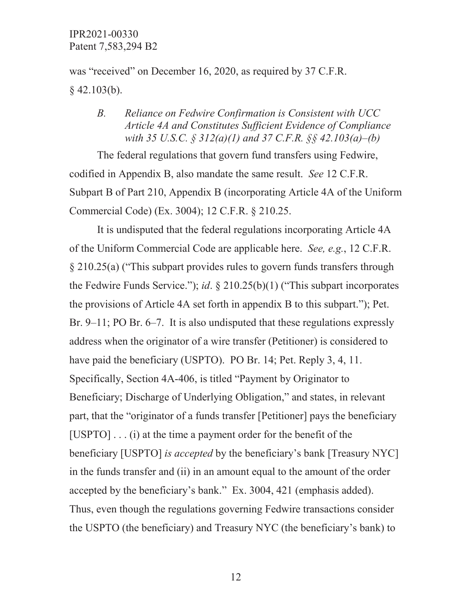was "received" on December 16, 2020, as required by 37 C.F.R.  $§$  42.103(b).

## *with 35 U.S.C. § 312(a)(1) and 37 C.F.R. §§ 42.103(a)–(b) B. Reliance on Fedwire Confirmation is Consistent with UCC Article 4A and Constitutes Sufficient Evidence of Compliance*

The federal regulations that govern fund transfers using Fedwire, codified in Appendix B, also mandate the same result. *See* 12 C.F.R. Subpart B of Part 210, Appendix B (incorporating Article 4A of the Uniform Commercial Code) (Ex. 3004); 12 C.F.R. § 210.25.

 address when the originator of a wire transfer (Petitioner) is considered to have paid the beneficiary (USPTO). PO Br. 14; Pet. Reply 3, 4, 11. It is undisputed that the federal regulations incorporating Article 4A of the Uniform Commercial Code are applicable here. *See, e.g.*, 12 C.F.R. § 210.25(a) ("This subpart provides rules to govern funds transfers through the Fedwire Funds Service."); *id*. § 210.25(b)(1) ("This subpart incorporates the provisions of Article 4A set forth in appendix B to this subpart."); Pet. Br. 9–11; PO Br. 6–7. It is also undisputed that these regulations expressly Specifically, Section 4A-406, is titled "Payment by Originator to Beneficiary; Discharge of Underlying Obligation," and states, in relevant part, that the "originator of a funds transfer [Petitioner] pays the beneficiary [USPTO] . . . (i) at the time a payment order for the benefit of the beneficiary [USPTO] *is accepted* by the beneficiary's bank [Treasury NYC] in the funds transfer and (ii) in an amount equal to the amount of the order accepted by the beneficiary's bank." Ex. 3004, 421 (emphasis added). Thus, even though the regulations governing Fedwire transactions consider the USPTO (the beneficiary) and Treasury NYC (the beneficiary's bank) to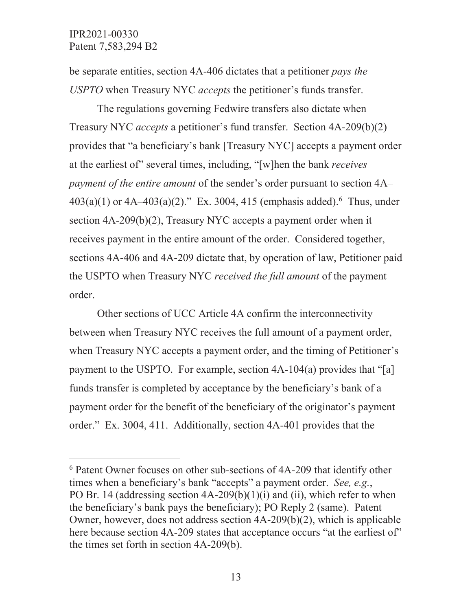$\overline{a}$ 

 be separate entities, section 4A-406 dictates that a petitioner *pays the USPTO* when Treasury NYC *accepts* the petitioner's funds transfer.

 $403(a)(1)$  or  $4A-403(a)(2)$ ." Ex. 3004, 415 (emphasis added).<sup>6</sup> Thus, under The regulations governing Fedwire transfers also dictate when Treasury NYC *accepts* a petitioner's fund transfer. Section 4A-209(b)(2) provides that "a beneficiary's bank [Treasury NYC] accepts a payment order at the earliest of" several times, including, "[w]hen the bank *receives payment of the entire amount* of the sender's order pursuant to section 4A– section 4A-209(b)(2), Treasury NYC accepts a payment order when it receives payment in the entire amount of the order. Considered together, sections 4A-406 and 4A-209 dictate that, by operation of law, Petitioner paid the USPTO when Treasury NYC *received the full amount* of the payment order.

 Other sections of UCC Article 4A confirm the interconnectivity between when Treasury NYC receives the full amount of a payment order, when Treasury NYC accepts a payment order, and the timing of Petitioner's payment to the USPTO. For example, section 4A-104(a) provides that "[a] funds transfer is completed by acceptance by the beneficiary's bank of a payment order for the benefit of the beneficiary of the originator's payment order." Ex. 3004, 411. Additionally, section 4A-401 provides that the

 times when a beneficiary's bank "accepts" a payment order. *See, e.g.*, here because section 4A-209 states that acceptance occurs "at the earliest of" the times set forth in section 4A-209(b).<br>13 6 Patent Owner focuses on other sub-sections of 4A-209 that identify other PO Br. 14 (addressing section  $4A-209(b)(1)(i)$  and (ii), which refer to when the beneficiary's bank pays the beneficiary); PO Reply 2 (same). Patent Owner, however, does not address section 4A-209(b)(2), which is applicable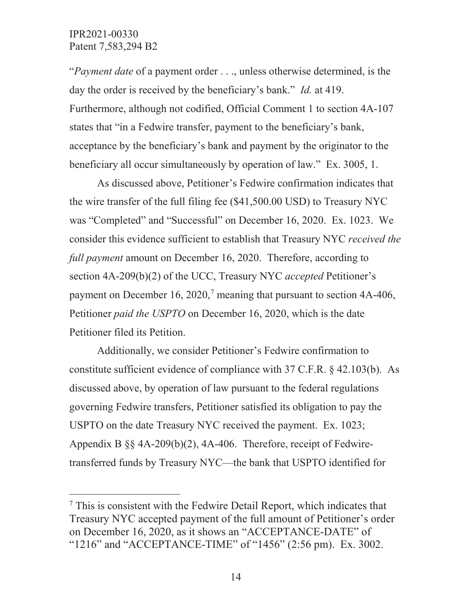$\overline{a}$ 

day the order is received by the beneficiary's bank." *Id.* at 419. beneficiary all occur simultaneously by operation of law." Ex. 3005, 1. "*Payment date* of a payment order . . ., unless otherwise determined, is the Furthermore, although not codified, Official Comment 1 to section 4A-107 states that "in a Fedwire transfer, payment to the beneficiary's bank, acceptance by the beneficiary's bank and payment by the originator to the

As discussed above, Petitioner's Fedwire confirmation indicates that the wire transfer of the full filing fee ([\\$41,500.00](https://41,500.00) USD) to Treasury NYC was "Completed" and "Successful" on December 16, 2020. Ex. 1023. We consider this evidence sufficient to establish that Treasury NYC *received the full payment* amount on December 16, 2020. Therefore, according to section 4A-209(b)(2) of the UCC, Treasury NYC *accepted* Petitioner's payment on December 16, 2020,<sup>7</sup> meaning that pursuant to section  $4A-406$ , Petitioner *paid the USPTO* on December 16, 2020, which is the date Petitioner filed its Petition.

 transferred funds by Treasury NYC—the bank that USPTO identified for Additionally, we consider Petitioner's Fedwire confirmation to constitute sufficient evidence of compliance with 37 C.F.R. § 42.103(b). As discussed above, by operation of law pursuant to the federal regulations governing Fedwire transfers, Petitioner satisfied its obligation to pay the USPTO on the date Treasury NYC received the payment. Ex. 1023; Appendix B §§ 4A-209(b)(2), 4A-406. Therefore, receipt of Fedwire-

 "1216" and "ACCEPTANCE-TIME" of "1456" (2:56 pm). Ex. 3002. <sup>7</sup> This is consistent with the Fedwire Detail Report, which indicates that Treasury NYC accepted payment of the full amount of Petitioner's order on December 16, 2020, as it shows an "ACCEPTANCE-DATE" of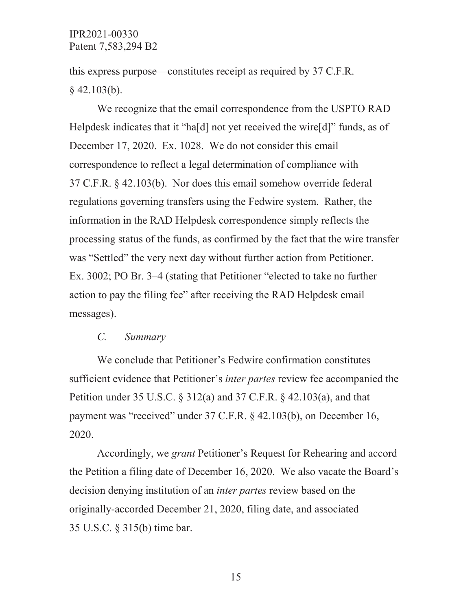this express purpose—constitutes receipt as required by 37 C.F.R.  $§$  42.103(b).

 Helpdesk indicates that it "ha[d] not yet received the wire[d]" funds, as of was "Settled" the very next day without further action from Petitioner. was "Settled" the very next day without further action from Petitioner.<br>Ex. 3002; PO Br. 3–4 (stating that Petitioner "elected to take no further messages). We recognize that the email correspondence from the USPTO RAD December 17, 2020. Ex. 1028. We do not consider this email correspondence to reflect a legal determination of compliance with 37 C.F.R. § 42.103(b). Nor does this email somehow override federal regulations governing transfers using the Fedwire system. Rather, the information in the RAD Helpdesk correspondence simply reflects the processing status of the funds, as confirmed by the fact that the wire transfer action to pay the filing fee" after receiving the RAD Helpdesk email

#### *C. Summary*

We conclude that Petitioner's Fedwire confirmation constitutes sufficient evidence that Petitioner's *inter partes* review fee accompanied the Petition under 35 U.S.C. § 312(a) and 37 C.F.R. § 42.103(a), and that payment was "received" under 37 C.F.R. § 42.103(b), on December 16, 2020.

 the Petition a filing date of December 16, 2020. We also vacate the Board's Accordingly, we *grant* Petitioner's Request for Rehearing and accord decision denying institution of an *inter partes* review based on the originally-accorded December 21, 2020, filing date, and associated 35 U.S.C. § 315(b) time bar.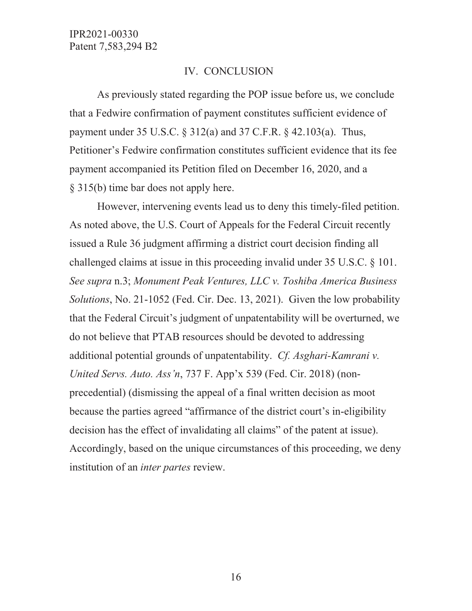#### IV. CONCLUSION

 payment accompanied its Petition filed on December 16, 2020, and a § 315(b) time bar does not apply here. § 315(b) time bar does not apply here. However, intervening events lead us to deny this timely-filed petition. As previously stated regarding the POP issue before us, we conclude that a Fedwire confirmation of payment constitutes sufficient evidence of payment under 35 U.S.C. § 312(a) and 37 C.F.R. § 42.103(a). Thus, Petitioner's Fedwire confirmation constitutes sufficient evidence that its fee

 challenged claims at issue in this proceeding invalid under 35 U.S.C. § 101. additional potential grounds of unpatentability. *Cf. Asghari-Kamrani v.*  decision has the effect of invalidating all claims" of the patent at issue). As noted above, the U.S. Court of Appeals for the Federal Circuit recently issued a Rule 36 judgment affirming a district court decision finding all *See supra* n.3; *Monument Peak Ventures, LLC v. Toshiba America Business Solutions*, No. 21-1052 (Fed. Cir. Dec. 13, 2021). Given the low probability that the Federal Circuit's judgment of unpatentability will be overturned, we do not believe that PTAB resources should be devoted to addressing *United Servs. Auto. Ass'n*, 737 F. App'x 539 (Fed. Cir. 2018) (nonprecedential) (dismissing the appeal of a final written decision as moot because the parties agreed "affirmance of the district court's in-eligibility Accordingly, based on the unique circumstances of this proceeding, we deny institution of an *inter partes* review.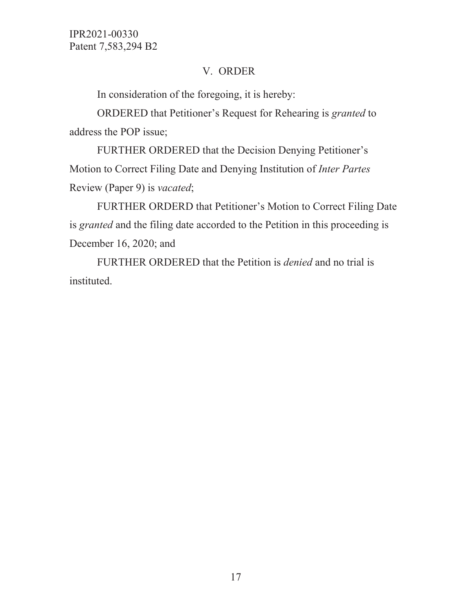# V. ORDER

In consideration of the foregoing, it is hereby:

 ORDERED that Petitioner's Request for Rehearing is *granted* to address the POP issue;

FURTHER ORDERED that the Decision Denying Petitioner's Motion to Correct Filing Date and Denying Institution of *Inter Partes*  Review (Paper 9) is *vacated*;

 December 16, 2020; and FURTHER ORDERD that Petitioner's Motion to Correct Filing Date is *granted* and the filing date accorded to the Petition in this proceeding is

 FURTHER ORDERED that the Petition is *denied* and no trial is instituted.